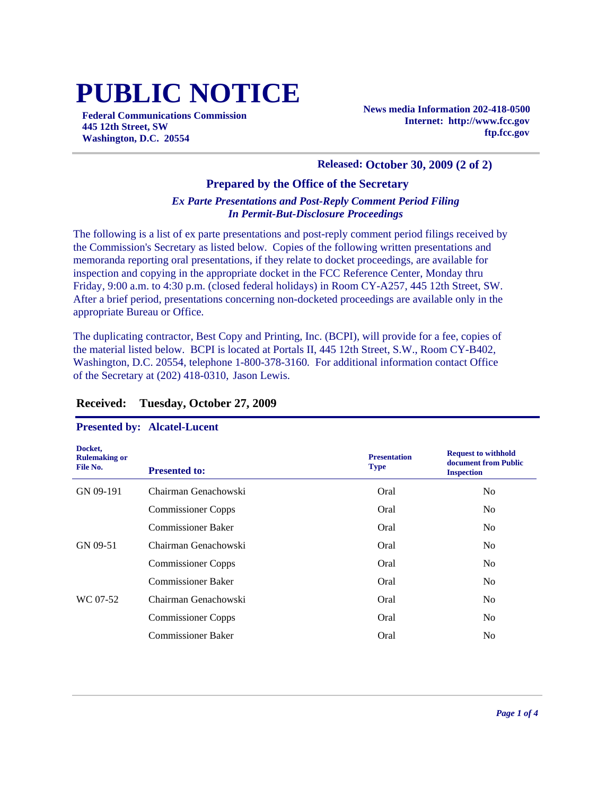# **PUBLIC NOTICE**

**Federal Communications Commission 445 12th Street, SW Washington, D.C. 20554**

**News media Information 202-418-0500 Internet: http://www.fcc.gov ftp.fcc.gov**

#### **Released: October 30, 2009 (2 of 2)**

## **Prepared by the Office of the Secretary**

#### *Ex Parte Presentations and Post-Reply Comment Period Filing In Permit-But-Disclosure Proceedings*

The following is a list of ex parte presentations and post-reply comment period filings received by the Commission's Secretary as listed below. Copies of the following written presentations and memoranda reporting oral presentations, if they relate to docket proceedings, are available for inspection and copying in the appropriate docket in the FCC Reference Center, Monday thru Friday, 9:00 a.m. to 4:30 p.m. (closed federal holidays) in Room CY-A257, 445 12th Street, SW. After a brief period, presentations concerning non-docketed proceedings are available only in the appropriate Bureau or Office.

The duplicating contractor, Best Copy and Printing, Inc. (BCPI), will provide for a fee, copies of the material listed below. BCPI is located at Portals II, 445 12th Street, S.W., Room CY-B402, Washington, D.C. 20554, telephone 1-800-378-3160. For additional information contact Office of the Secretary at (202) 418-0310, Jason Lewis.

| Docket,<br><b>Rulemaking or</b><br>File No. | <b>Presented to:</b>      | <b>Presentation</b><br><b>Type</b> | <b>Request to withhold</b><br>document from Public<br><b>Inspection</b> |
|---------------------------------------------|---------------------------|------------------------------------|-------------------------------------------------------------------------|
| GN 09-191                                   | Chairman Genachowski      | Oral                               | No                                                                      |
|                                             | <b>Commissioner Copps</b> | Oral                               | N <sub>o</sub>                                                          |
|                                             | <b>Commissioner Baker</b> | Oral                               | N <sub>0</sub>                                                          |
| GN 09-51                                    | Chairman Genachowski      | Oral                               | N <sub>0</sub>                                                          |
|                                             | <b>Commissioner Copps</b> | Oral                               | No                                                                      |
|                                             | <b>Commissioner Baker</b> | Oral                               | N <sub>0</sub>                                                          |
| WC 07-52                                    | Chairman Genachowski      | Oral                               | N <sub>0</sub>                                                          |
|                                             | <b>Commissioner Copps</b> | Oral                               | N <sub>o</sub>                                                          |
|                                             | <b>Commissioner Baker</b> | Oral                               | No                                                                      |

#### **Received: Tuesday, October 27, 2009**

#### **Presented by: Alcatel-Lucent**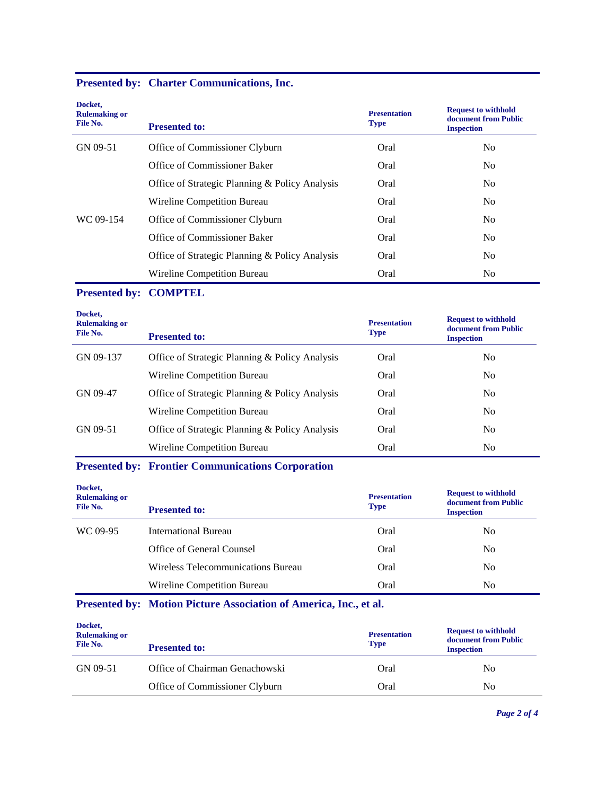|  |  | <b>Presented by: Charter Communications, Inc.</b> |  |
|--|--|---------------------------------------------------|--|
|--|--|---------------------------------------------------|--|

| Docket,<br><b>Rulemaking or</b><br>File No. | <b>Presented to:</b>                           | <b>Presentation</b><br><b>Type</b> | <b>Request to withhold</b><br>document from Public<br><b>Inspection</b> |
|---------------------------------------------|------------------------------------------------|------------------------------------|-------------------------------------------------------------------------|
| GN 09-51                                    | Office of Commissioner Clyburn                 | Oral                               | N <sub>o</sub>                                                          |
|                                             | Office of Commissioner Baker                   | Oral                               | N <sub>o</sub>                                                          |
|                                             | Office of Strategic Planning & Policy Analysis | Oral                               | N <sub>o</sub>                                                          |
|                                             | Wireline Competition Bureau                    | Oral                               | N <sub>o</sub>                                                          |
| WC 09-154                                   | Office of Commissioner Clyburn                 | Oral                               | N <sub>o</sub>                                                          |
|                                             | Office of Commissioner Baker                   | Oral                               | N <sub>o</sub>                                                          |
|                                             | Office of Strategic Planning & Policy Analysis | Oral                               | N <sub>o</sub>                                                          |
|                                             | Wireline Competition Bureau                    | Oral                               | N <sub>o</sub>                                                          |

## **Presented by: COMPTEL**

| Docket,<br><b>Rulemaking or</b><br>File No. | <b>Presented to:</b>                           | <b>Presentation</b><br><b>Type</b> | <b>Request to withhold</b><br>document from Public<br><b>Inspection</b> |
|---------------------------------------------|------------------------------------------------|------------------------------------|-------------------------------------------------------------------------|
| GN 09-137                                   | Office of Strategic Planning & Policy Analysis | Oral                               | No                                                                      |
|                                             | Wireline Competition Bureau                    | Oral                               | N <sub>0</sub>                                                          |
| GN 09-47                                    | Office of Strategic Planning & Policy Analysis | Oral                               | N <sub>0</sub>                                                          |
|                                             | Wireline Competition Bureau                    | Oral                               | No                                                                      |
| GN 09-51                                    | Office of Strategic Planning & Policy Analysis | Oral                               | No                                                                      |
|                                             | Wireline Competition Bureau                    | Oral                               | No                                                                      |

# **Presented by: Frontier Communications Corporation**

| Docket,<br><b>Rulemaking or</b><br>File No. | <b>Presented to:</b>               | <b>Presentation</b><br><b>Type</b> | <b>Request to withhold</b><br>document from Public<br><b>Inspection</b> |
|---------------------------------------------|------------------------------------|------------------------------------|-------------------------------------------------------------------------|
| WC 09-95                                    | International Bureau               | Oral                               | No                                                                      |
|                                             | Office of General Counsel          | Oral                               | No                                                                      |
|                                             | Wireless Telecommunications Bureau | Oral                               | No                                                                      |
|                                             | Wireline Competition Bureau        | Oral                               | No                                                                      |

# **Presented by: Motion Picture Association of America, Inc., et al.**

| Docket,<br><b>Rulemaking or</b><br>File No. | <b>Presented to:</b>           | <b>Presentation</b><br><b>Type</b> | <b>Request to withhold</b><br>document from Public<br><b>Inspection</b> |
|---------------------------------------------|--------------------------------|------------------------------------|-------------------------------------------------------------------------|
| GN 09-51                                    | Office of Chairman Genachowski | Oral                               | No                                                                      |
|                                             | Office of Commissioner Clyburn | Oral                               | N <sub>0</sub>                                                          |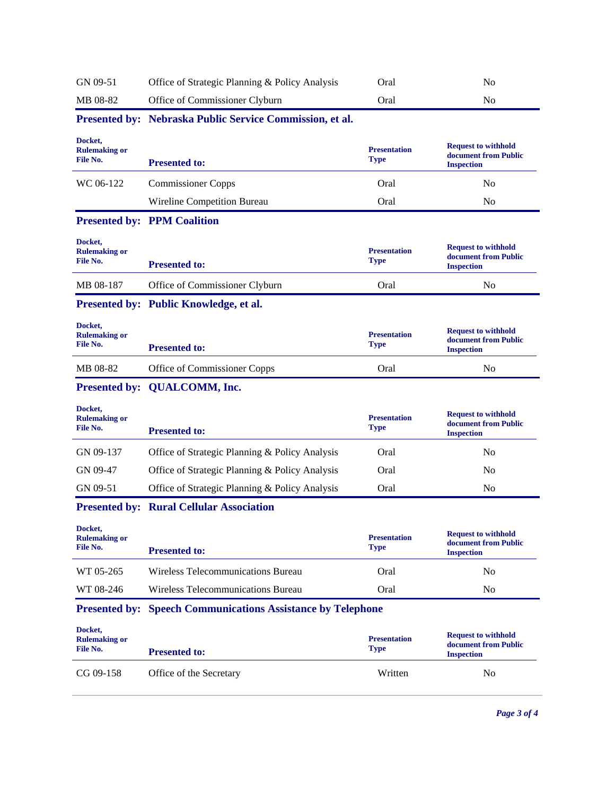| GN 09-51                                    | Office of Strategic Planning & Policy Analysis                     | Oral                               | N <sub>o</sub>                                                          |
|---------------------------------------------|--------------------------------------------------------------------|------------------------------------|-------------------------------------------------------------------------|
| MB 08-82                                    | Office of Commissioner Clyburn                                     | Oral                               | N <sub>0</sub>                                                          |
|                                             | Presented by: Nebraska Public Service Commission, et al.           |                                    |                                                                         |
| Docket,<br><b>Rulemaking or</b><br>File No. | <b>Presented to:</b>                                               | <b>Presentation</b><br><b>Type</b> | <b>Request to withhold</b><br>document from Public<br><b>Inspection</b> |
| WC 06-122                                   | <b>Commissioner Copps</b>                                          | Oral                               | N <sub>0</sub>                                                          |
|                                             | Wireline Competition Bureau                                        | Oral                               | No                                                                      |
|                                             | <b>Presented by: PPM Coalition</b>                                 |                                    |                                                                         |
| Docket,<br><b>Rulemaking or</b><br>File No. | <b>Presented to:</b>                                               | <b>Presentation</b><br>Type        | <b>Request to withhold</b><br>document from Public<br><b>Inspection</b> |
| MB 08-187                                   | Office of Commissioner Clyburn                                     | Oral                               | No                                                                      |
|                                             | Presented by: Public Knowledge, et al.                             |                                    |                                                                         |
| Docket,<br><b>Rulemaking or</b><br>File No. | <b>Presented to:</b>                                               | <b>Presentation</b><br>Type        | <b>Request to withhold</b><br>document from Public<br><b>Inspection</b> |
| MB 08-82                                    | Office of Commissioner Copps                                       | Oral                               | No                                                                      |
|                                             |                                                                    |                                    |                                                                         |
|                                             | Presented by: QUALCOMM, Inc.                                       |                                    |                                                                         |
| Docket,<br><b>Rulemaking or</b><br>File No. | <b>Presented to:</b>                                               | <b>Presentation</b><br>Type        | <b>Request to withhold</b><br>document from Public<br><b>Inspection</b> |
| GN 09-137                                   | Office of Strategic Planning & Policy Analysis                     | Oral                               | N <sub>0</sub>                                                          |
| GN 09-47                                    | Office of Strategic Planning & Policy Analysis                     | Oral                               | N <sub>0</sub>                                                          |
| GN 09-51                                    | Office of Strategic Planning & Policy Analysis                     | Oral                               | No                                                                      |
|                                             | <b>Presented by: Rural Cellular Association</b>                    |                                    |                                                                         |
| Docket,<br><b>Rulemaking or</b><br>File No. | <b>Presented to:</b>                                               | <b>Presentation</b><br><b>Type</b> | <b>Request to withhold</b><br>document from Public<br><b>Inspection</b> |
| WT 05-265                                   | Wireless Telecommunications Bureau                                 | Oral                               | No                                                                      |
| WT 08-246                                   | Wireless Telecommunications Bureau                                 | Oral                               | N <sub>0</sub>                                                          |
|                                             | <b>Presented by: Speech Communications Assistance by Telephone</b> |                                    |                                                                         |
| Docket,<br><b>Rulemaking or</b><br>File No. | <b>Presented to:</b>                                               | <b>Presentation</b><br><b>Type</b> | <b>Request to withhold</b><br>document from Public<br><b>Inspection</b> |